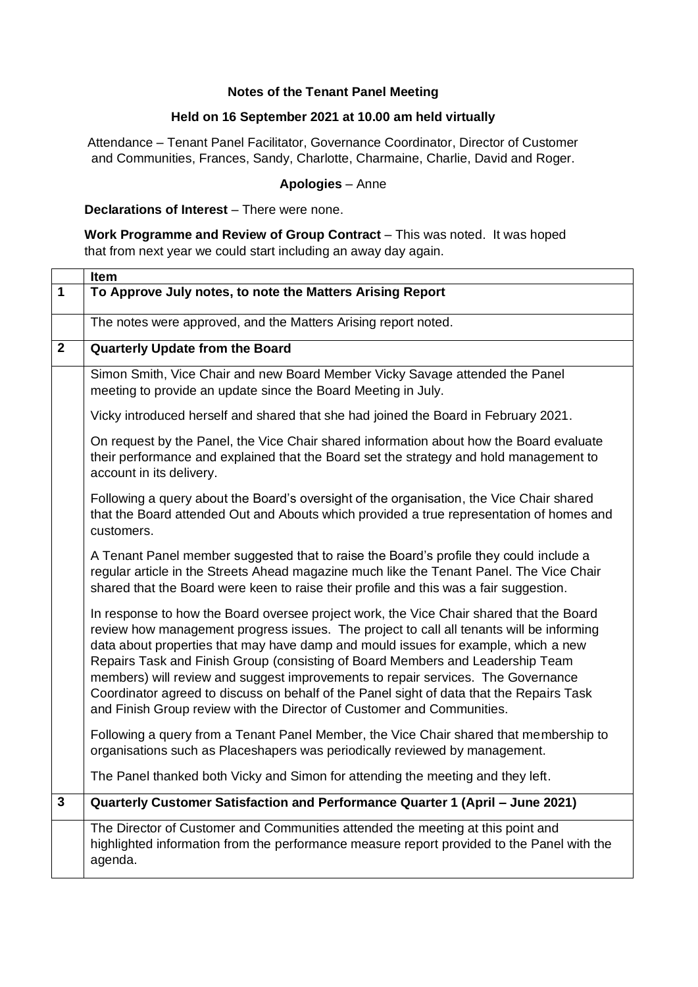## **Notes of the Tenant Panel Meeting**

## **Held on 16 September 2021 at 10.00 am held virtually**

Attendance – Tenant Panel Facilitator, Governance Coordinator, Director of Customer and Communities, Frances, Sandy, Charlotte, Charmaine, Charlie, David and Roger.

### **Apologies** – Anne

**Declarations of Interest** – There were none.

**Work Programme and Review of Group Contract** – This was noted. It was hoped that from next year we could start including an away day again.

|                | <b>Item</b>                                                                                                                                                                                                                                                                                                                                                                                                                                                                                                                                                                                                           |
|----------------|-----------------------------------------------------------------------------------------------------------------------------------------------------------------------------------------------------------------------------------------------------------------------------------------------------------------------------------------------------------------------------------------------------------------------------------------------------------------------------------------------------------------------------------------------------------------------------------------------------------------------|
| $\mathbf{1}$   | To Approve July notes, to note the Matters Arising Report                                                                                                                                                                                                                                                                                                                                                                                                                                                                                                                                                             |
|                | The notes were approved, and the Matters Arising report noted.                                                                                                                                                                                                                                                                                                                                                                                                                                                                                                                                                        |
| $\overline{2}$ | Quarterly Update from the Board                                                                                                                                                                                                                                                                                                                                                                                                                                                                                                                                                                                       |
|                | Simon Smith, Vice Chair and new Board Member Vicky Savage attended the Panel<br>meeting to provide an update since the Board Meeting in July.                                                                                                                                                                                                                                                                                                                                                                                                                                                                         |
|                | Vicky introduced herself and shared that she had joined the Board in February 2021.                                                                                                                                                                                                                                                                                                                                                                                                                                                                                                                                   |
|                | On request by the Panel, the Vice Chair shared information about how the Board evaluate<br>their performance and explained that the Board set the strategy and hold management to<br>account in its delivery.                                                                                                                                                                                                                                                                                                                                                                                                         |
|                | Following a query about the Board's oversight of the organisation, the Vice Chair shared<br>that the Board attended Out and Abouts which provided a true representation of homes and<br>customers.                                                                                                                                                                                                                                                                                                                                                                                                                    |
|                | A Tenant Panel member suggested that to raise the Board's profile they could include a<br>regular article in the Streets Ahead magazine much like the Tenant Panel. The Vice Chair<br>shared that the Board were keen to raise their profile and this was a fair suggestion.                                                                                                                                                                                                                                                                                                                                          |
|                | In response to how the Board oversee project work, the Vice Chair shared that the Board<br>review how management progress issues. The project to call all tenants will be informing<br>data about properties that may have damp and mould issues for example, which a new<br>Repairs Task and Finish Group (consisting of Board Members and Leadership Team<br>members) will review and suggest improvements to repair services. The Governance<br>Coordinator agreed to discuss on behalf of the Panel sight of data that the Repairs Task<br>and Finish Group review with the Director of Customer and Communities. |
|                | Following a query from a Tenant Panel Member, the Vice Chair shared that membership to<br>organisations such as Placeshapers was periodically reviewed by management.                                                                                                                                                                                                                                                                                                                                                                                                                                                 |
|                | The Panel thanked both Vicky and Simon for attending the meeting and they left.                                                                                                                                                                                                                                                                                                                                                                                                                                                                                                                                       |
| $\mathbf{3}$   | Quarterly Customer Satisfaction and Performance Quarter 1 (April - June 2021)                                                                                                                                                                                                                                                                                                                                                                                                                                                                                                                                         |
|                | The Director of Customer and Communities attended the meeting at this point and<br>highlighted information from the performance measure report provided to the Panel with the<br>agenda.                                                                                                                                                                                                                                                                                                                                                                                                                              |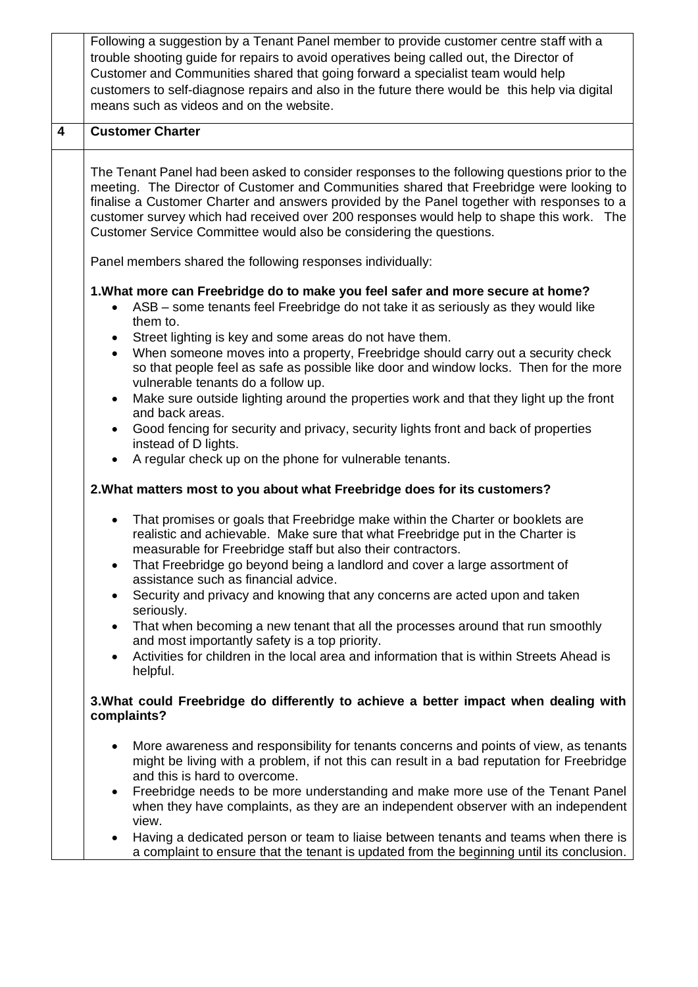|                         | Following a suggestion by a Tenant Panel member to provide customer centre staff with a<br>trouble shooting guide for repairs to avoid operatives being called out, the Director of<br>Customer and Communities shared that going forward a specialist team would help<br>customers to self-diagnose repairs and also in the future there would be this help via digital<br>means such as videos and on the website.                                       |
|-------------------------|------------------------------------------------------------------------------------------------------------------------------------------------------------------------------------------------------------------------------------------------------------------------------------------------------------------------------------------------------------------------------------------------------------------------------------------------------------|
| $\overline{\mathbf{4}}$ | <b>Customer Charter</b>                                                                                                                                                                                                                                                                                                                                                                                                                                    |
|                         | The Tenant Panel had been asked to consider responses to the following questions prior to the<br>meeting. The Director of Customer and Communities shared that Freebridge were looking to<br>finalise a Customer Charter and answers provided by the Panel together with responses to a<br>customer survey which had received over 200 responses would help to shape this work. The<br>Customer Service Committee would also be considering the questions. |
|                         | Panel members shared the following responses individually:                                                                                                                                                                                                                                                                                                                                                                                                 |
|                         | 1. What more can Freebridge do to make you feel safer and more secure at home?<br>ASB – some tenants feel Freebridge do not take it as seriously as they would like<br>them to.<br>Street lighting is key and some areas do not have them.<br>$\bullet$<br>When someone moves into a property, Freebridge should carry out a security check<br>$\bullet$                                                                                                   |
|                         | so that people feel as safe as possible like door and window locks. Then for the more<br>vulnerable tenants do a follow up.                                                                                                                                                                                                                                                                                                                                |
|                         | Make sure outside lighting around the properties work and that they light up the front<br>$\bullet$                                                                                                                                                                                                                                                                                                                                                        |
|                         | and back areas.<br>Good fencing for security and privacy, security lights front and back of properties<br>$\bullet$<br>instead of D lights.                                                                                                                                                                                                                                                                                                                |
|                         | A regular check up on the phone for vulnerable tenants.<br>$\bullet$                                                                                                                                                                                                                                                                                                                                                                                       |
|                         | 2. What matters most to you about what Freebridge does for its customers?                                                                                                                                                                                                                                                                                                                                                                                  |
|                         | That promises or goals that Freebridge make within the Charter or booklets are<br>realistic and achievable. Make sure that what Freebridge put in the Charter is<br>measurable for Freebridge staff but also their contractors.<br>That Freebridge go beyond being a landlord and cover a large assortment of                                                                                                                                              |
|                         | assistance such as financial advice.<br>Security and privacy and knowing that any concerns are acted upon and taken<br>$\bullet$                                                                                                                                                                                                                                                                                                                           |
|                         | seriously.                                                                                                                                                                                                                                                                                                                                                                                                                                                 |
|                         | That when becoming a new tenant that all the processes around that run smoothly<br>$\bullet$<br>and most importantly safety is a top priority.                                                                                                                                                                                                                                                                                                             |
|                         | Activities for children in the local area and information that is within Streets Ahead is<br>$\bullet$<br>helpful.                                                                                                                                                                                                                                                                                                                                         |
|                         | 3. What could Freebridge do differently to achieve a better impact when dealing with<br>complaints?                                                                                                                                                                                                                                                                                                                                                        |
|                         | More awareness and responsibility for tenants concerns and points of view, as tenants<br>might be living with a problem, if not this can result in a bad reputation for Freebridge<br>and this is hard to overcome.                                                                                                                                                                                                                                        |
|                         | Freebridge needs to be more understanding and make more use of the Tenant Panel<br>$\bullet$<br>when they have complaints, as they are an independent observer with an independent<br>view.                                                                                                                                                                                                                                                                |
|                         | Having a dedicated person or team to liaise between tenants and teams when there is<br>$\bullet$<br>a complaint to ensure that the tenant is updated from the beginning until its conclusion.                                                                                                                                                                                                                                                              |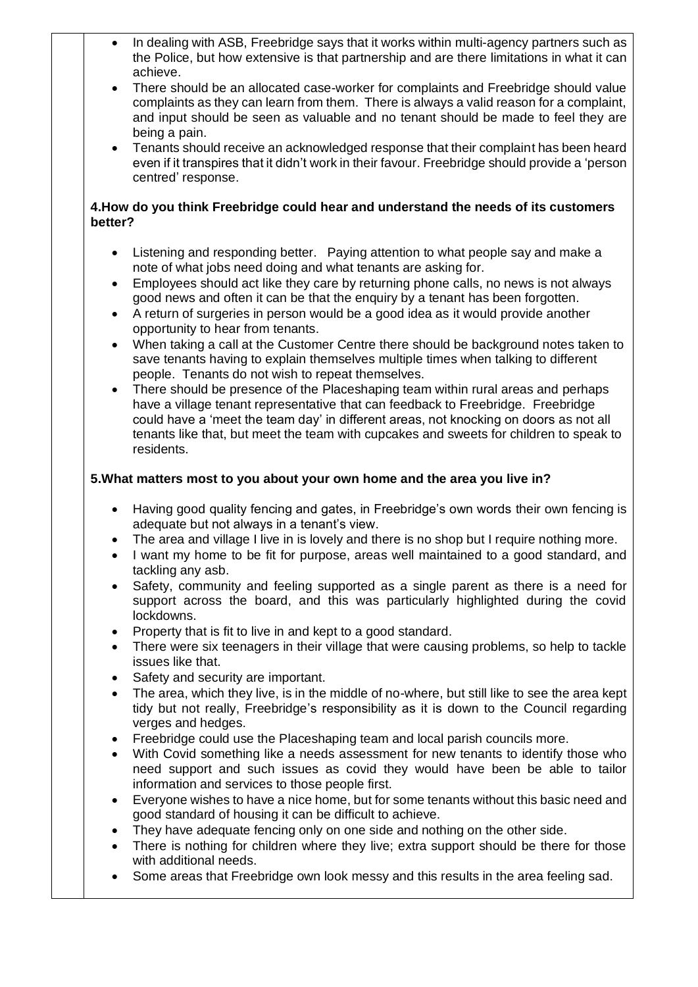- In dealing with ASB, Freebridge says that it works within multi-agency partners such as the Police, but how extensive is that partnership and are there limitations in what it can achieve.
- There should be an allocated case-worker for complaints and Freebridge should value complaints as they can learn from them. There is always a valid reason for a complaint, and input should be seen as valuable and no tenant should be made to feel they are being a pain.
- Tenants should receive an acknowledged response that their complaint has been heard even if it transpires that it didn't work in their favour. Freebridge should provide a 'person centred' response.

# **4.How do you think Freebridge could hear and understand the needs of its customers better?**

- Listening and responding better. Paying attention to what people say and make a note of what jobs need doing and what tenants are asking for.
- Employees should act like they care by returning phone calls, no news is not always good news and often it can be that the enquiry by a tenant has been forgotten.
- A return of surgeries in person would be a good idea as it would provide another opportunity to hear from tenants.
- When taking a call at the Customer Centre there should be background notes taken to save tenants having to explain themselves multiple times when talking to different people. Tenants do not wish to repeat themselves.
- There should be presence of the Placeshaping team within rural areas and perhaps have a village tenant representative that can feedback to Freebridge. Freebridge could have a 'meet the team day' in different areas, not knocking on doors as not all tenants like that, but meet the team with cupcakes and sweets for children to speak to residents.

# **5.What matters most to you about your own home and the area you live in?**

- Having good quality fencing and gates, in Freebridge's own words their own fencing is adequate but not always in a tenant's view.
- The area and village I live in is lovely and there is no shop but I require nothing more.
- I want my home to be fit for purpose, areas well maintained to a good standard, and tackling any asb.
- Safety, community and feeling supported as a single parent as there is a need for support across the board, and this was particularly highlighted during the covid lockdowns.
- Property that is fit to live in and kept to a good standard.
- There were six teenagers in their village that were causing problems, so help to tackle issues like that.
- Safety and security are important.
- The area, which they live, is in the middle of no-where, but still like to see the area kept tidy but not really, Freebridge's responsibility as it is down to the Council regarding verges and hedges.
- Freebridge could use the Placeshaping team and local parish councils more.
- With Covid something like a needs assessment for new tenants to identify those who need support and such issues as covid they would have been be able to tailor information and services to those people first.
- Everyone wishes to have a nice home, but for some tenants without this basic need and good standard of housing it can be difficult to achieve.
- They have adequate fencing only on one side and nothing on the other side.
- There is nothing for children where they live; extra support should be there for those with additional needs.
- Some areas that Freebridge own look messy and this results in the area feeling sad.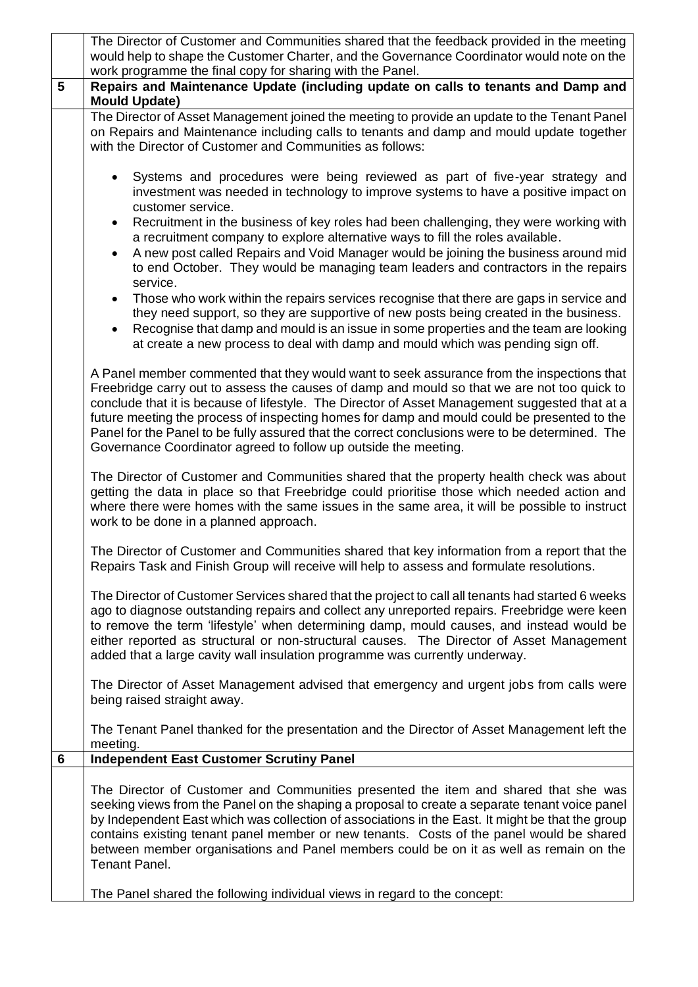|   | The Director of Customer and Communities shared that the feedback provided in the meeting<br>would help to shape the Customer Charter, and the Governance Coordinator would note on the<br>work programme the final copy for sharing with the Panel.                                                                                                                                                                                                                                                                                                            |
|---|-----------------------------------------------------------------------------------------------------------------------------------------------------------------------------------------------------------------------------------------------------------------------------------------------------------------------------------------------------------------------------------------------------------------------------------------------------------------------------------------------------------------------------------------------------------------|
| 5 | Repairs and Maintenance Update (including update on calls to tenants and Damp and<br><b>Mould Update)</b>                                                                                                                                                                                                                                                                                                                                                                                                                                                       |
|   | The Director of Asset Management joined the meeting to provide an update to the Tenant Panel<br>on Repairs and Maintenance including calls to tenants and damp and mould update together<br>with the Director of Customer and Communities as follows:                                                                                                                                                                                                                                                                                                           |
|   | Systems and procedures were being reviewed as part of five-year strategy and<br>investment was needed in technology to improve systems to have a positive impact on<br>customer service.                                                                                                                                                                                                                                                                                                                                                                        |
|   | Recruitment in the business of key roles had been challenging, they were working with<br>$\bullet$<br>a recruitment company to explore alternative ways to fill the roles available.<br>A new post called Repairs and Void Manager would be joining the business around mid<br>$\bullet$<br>to end October. They would be managing team leaders and contractors in the repairs<br>service.                                                                                                                                                                      |
|   | Those who work within the repairs services recognise that there are gaps in service and<br>$\bullet$<br>they need support, so they are supportive of new posts being created in the business.<br>Recognise that damp and mould is an issue in some properties and the team are looking<br>$\bullet$<br>at create a new process to deal with damp and mould which was pending sign off.                                                                                                                                                                          |
|   | A Panel member commented that they would want to seek assurance from the inspections that<br>Freebridge carry out to assess the causes of damp and mould so that we are not too quick to<br>conclude that it is because of lifestyle. The Director of Asset Management suggested that at a<br>future meeting the process of inspecting homes for damp and mould could be presented to the<br>Panel for the Panel to be fully assured that the correct conclusions were to be determined. The<br>Governance Coordinator agreed to follow up outside the meeting. |
|   | The Director of Customer and Communities shared that the property health check was about<br>getting the data in place so that Freebridge could prioritise those which needed action and<br>where there were homes with the same issues in the same area, it will be possible to instruct<br>work to be done in a planned approach.                                                                                                                                                                                                                              |
|   | The Director of Customer and Communities shared that key information from a report that the<br>Repairs Task and Finish Group will receive will help to assess and formulate resolutions.                                                                                                                                                                                                                                                                                                                                                                        |
|   | The Director of Customer Services shared that the project to call all tenants had started 6 weeks<br>ago to diagnose outstanding repairs and collect any unreported repairs. Freebridge were keen<br>to remove the term 'lifestyle' when determining damp, mould causes, and instead would be<br>either reported as structural or non-structural causes. The Director of Asset Management<br>added that a large cavity wall insulation programme was currently underway.                                                                                        |
|   | The Director of Asset Management advised that emergency and urgent jobs from calls were<br>being raised straight away.                                                                                                                                                                                                                                                                                                                                                                                                                                          |
|   | The Tenant Panel thanked for the presentation and the Director of Asset Management left the<br>meeting.                                                                                                                                                                                                                                                                                                                                                                                                                                                         |
| 6 | <b>Independent East Customer Scrutiny Panel</b>                                                                                                                                                                                                                                                                                                                                                                                                                                                                                                                 |
|   | The Director of Customer and Communities presented the item and shared that she was<br>seeking views from the Panel on the shaping a proposal to create a separate tenant voice panel<br>by Independent East which was collection of associations in the East. It might be that the group<br>contains existing tenant panel member or new tenants. Costs of the panel would be shared<br>between member organisations and Panel members could be on it as well as remain on the<br><b>Tenant Panel.</b>                                                         |
|   | The Panel shared the following individual views in regard to the concept:                                                                                                                                                                                                                                                                                                                                                                                                                                                                                       |